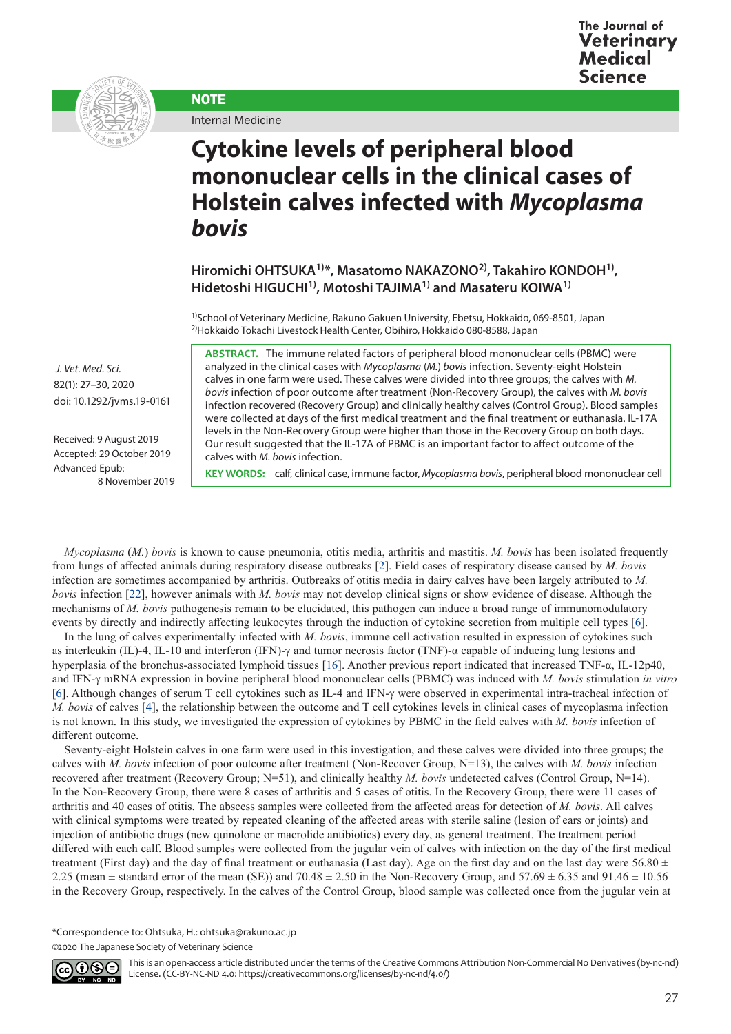



Internal Medicine

**NOTE** 

## **Cytokine levels of peripheral blood mononuclear cells in the clinical cases of Holstein calves infected with** *Mycoplasma bovis*

**Hiromichi OHTSUKA1)\*, Masatomo NAKAZONO2), Takahiro KONDOH1), Hidetoshi HIGUCHI1), Motoshi TAJIMA1) and Masateru KOIWA1)**

1)School of Veterinary Medicine, Rakuno Gakuen University, Ebetsu, Hokkaido, 069-8501, Japan 2)Hokkaido Tokachi Livestock Health Center, Obihiro, Hokkaido 080-8588, Japan

**ABSTRACT.** The immune related factors of peripheral blood mononuclear cells (PBMC) were analyzed in the clinical cases with *Mycoplasma* (*M.*) *bovis* infection. Seventy-eight Holstein calves in one farm were used. These calves were divided into three groups; the calves with *M. bovis* infection of poor outcome after treatment (Non-Recovery Group), the calves with *M. bovis* infection recovered (Recovery Group) and clinically healthy calves (Control Group). Blood samples were collected at days of the first medical treatment and the final treatment or euthanasia. IL-17A levels in the Non-Recovery Group were higher than those in the Recovery Group on both days. Our result suggested that the IL-17A of PBMC is an important factor to affect outcome of the calves with *M. bovis* infection.

**KEY WORDS:** calf, clinical case, immune factor, *Mycoplasma bovis*, peripheral blood mononuclear cell

*Mycoplasma* (*M.*) *bovis* is known to cause pneumonia, otitis media, arthritis and mastitis. *M. bovis* has been isolated frequently from lungs of affected animals during respiratory disease outbreaks [[2](#page-3-0)]. Field cases of respiratory disease caused by *M. bovis* infection are sometimes accompanied by arthritis. Outbreaks of otitis media in dairy calves have been largely attributed to *M. bovis* infection [[22\]](#page-3-1), however animals with *M. bovis* may not develop clinical signs or show evidence of disease. Although the mechanisms of *M. bovis* pathogenesis remain to be elucidated, this pathogen can induce a broad range of immunomodulatory events by directly and indirectly affecting leukocytes through the induction of cytokine secretion from multiple cell types [[6](#page-3-2)].

In the lung of calves experimentally infected with *M. bovis*, immune cell activation resulted in expression of cytokines such as interleukin (IL)-4, IL-10 and interferon (IFN)-γ and tumor necrosis factor (TNF)-α capable of inducing lung lesions and hyperplasia of the bronchus-associated lymphoid tissues [[16](#page-3-3)]. Another previous report indicated that increased TNF-α, IL-12p40, and IFN-γ mRNA expression in bovine peripheral blood mononuclear cells (PBMC) was induced with *M. bovis* stimulation *in vitro* [[6](#page-3-2)]. Although changes of serum T cell cytokines such as IL-4 and IFN-γ were observed in experimental intra-tracheal infection of *M. bovis* of calves [[4](#page-3-4)], the relationship between the outcome and T cell cytokines levels in clinical cases of mycoplasma infection is not known. In this study, we investigated the expression of cytokines by PBMC in the field calves with *M. bovis* infection of different outcome.

Seventy-eight Holstein calves in one farm were used in this investigation, and these calves were divided into three groups; the calves with *M. bovis* infection of poor outcome after treatment (Non-Recover Group, N=13), the calves with *M. bovis* infection recovered after treatment (Recovery Group; N=51), and clinically healthy *M. bovis* undetected calves (Control Group, N=14). In the Non-Recovery Group, there were 8 cases of arthritis and 5 cases of otitis. In the Recovery Group, there were 11 cases of arthritis and 40 cases of otitis. The abscess samples were collected from the affected areas for detection of *M. bovis*. All calves with clinical symptoms were treated by repeated cleaning of the affected areas with sterile saline (lesion of ears or joints) and injection of antibiotic drugs (new quinolone or macrolide antibiotics) every day, as general treatment. The treatment period differed with each calf. Blood samples were collected from the jugular vein of calves with infection on the day of the first medical treatment (First day) and the day of final treatment or euthanasia (Last day). Age on the first day and on the last day were 56.80  $\pm$ 2.25 (mean  $\pm$  standard error of the mean (SE)) and 70.48  $\pm$  2.50 in the Non-Recovery Group, and 57.69  $\pm$  6.35 and 91.46  $\pm$  10.56 in the Recovery Group, respectively. In the calves of the Control Group, blood sample was collected once from the jugular vein at

\*Correspondence to: Ohtsuka, H.: ohtsuka@rakuno.ac.jp

©2020 The Japanese Society of Veterinary Science



This is an open-access article distributed under the terms of the Creative Commons Attribution Non-Commercial No Derivatives (by-nc-nd) License. (CC-BY-NC-ND 4.0: <https://creativecommons.org/licenses/by-nc-nd/4.0/>)

 *J. Vet. Med. Sci.*  82(1): 27–30, 2020 doi: 10.1292/jvms.19-0161

Received: 9 August 2019 Accepted: 29 October 2019 Advanced Epub: 8 November 2019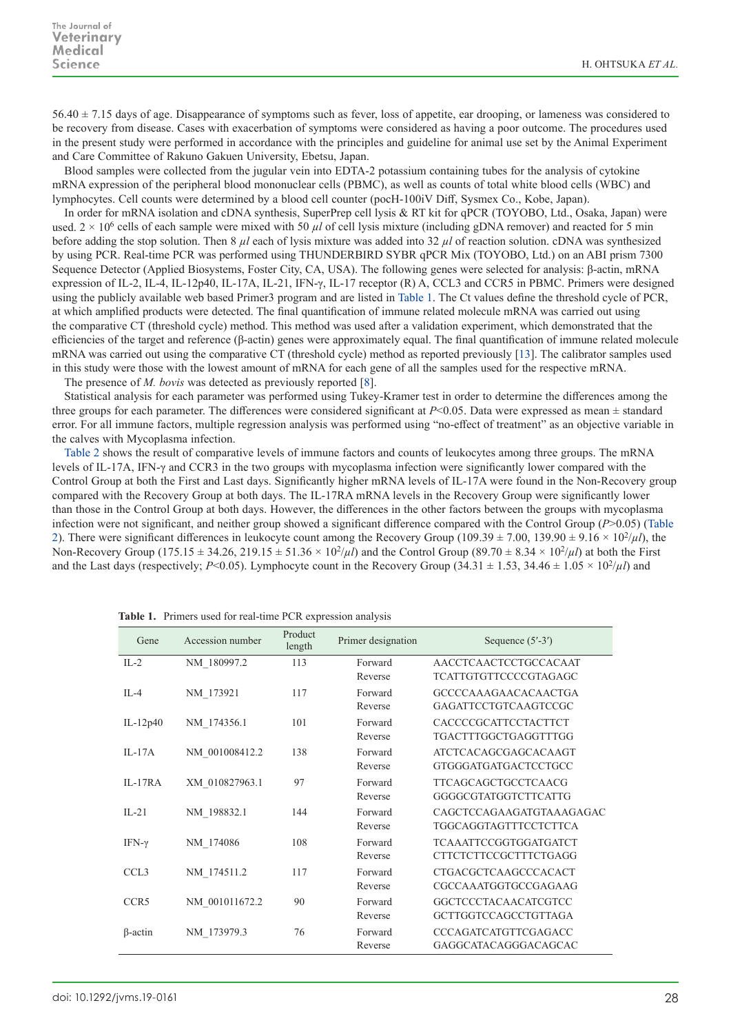$56.40 \pm 7.15$  days of age. Disappearance of symptoms such as fever, loss of appetite, ear drooping, or lameness was considered to be recovery from disease. Cases with exacerbation of symptoms were considered as having a poor outcome. The procedures used in the present study were performed in accordance with the principles and guideline for animal use set by the Animal Experiment and Care Committee of Rakuno Gakuen University, Ebetsu, Japan.

Blood samples were collected from the jugular vein into EDTA-2 potassium containing tubes for the analysis of cytokine mRNA expression of the peripheral blood mononuclear cells (PBMC), as well as counts of total white blood cells (WBC) and lymphocytes. Cell counts were determined by a blood cell counter (pocH-100iV Diff, Sysmex Co., Kobe, Japan).

In order for mRNA isolation and cDNA synthesis, SuperPrep cell lysis & RT kit for qPCR (TOYOBO, Ltd., Osaka, Japan) were used.  $2 \times 10^6$  cells of each sample were mixed with 50  $\mu$  of cell lysis mixture (including gDNA remover) and reacted for 5 min before adding the stop solution. Then 8 *µl* each of lysis mixture was added into 32 *µl* of reaction solution. cDNA was synthesized by using PCR. Real-time PCR was performed using THUNDERBIRD SYBR qPCR Mix (TOYOBO, Ltd.) on an ABI prism 7300 Sequence Detector (Applied Biosystems, Foster City, CA, USA). The following genes were selected for analysis: β-actin, mRNA expression of IL-2, IL-4, IL-12p40, IL-17A, IL-21, IFN-γ, IL-17 receptor (R) A, CCL3 and CCR5 in PBMC. Primers were designed using the publicly available web based Primer3 program and are listed in Table 1. The Ct values define the threshold cycle of PCR, at which amplified products were detected. The final quantification of immune related molecule mRNA was carried out using the comparative CT (threshold cycle) method. This method was used after a validation experiment, which demonstrated that the efficiencies of the target and reference (β-actin) genes were approximately equal. The final quantification of immune related molecule mRNA was carried out using the comparative CT (threshold cycle) method as reported previously [[13](#page-3-5)]. The calibrator samples used in this study were those with the lowest amount of mRNA for each gene of all the samples used for the respective mRNA. The presence of *M. bovis* was detected as previously reported [\[8](#page-3-6)].

Statistical analysis for each parameter was performed using Tukey-Kramer test in order to determine the differences among the three groups for each parameter. The differences were considered significant at  $P<0.05$ . Data were expressed as mean  $\pm$  standard error. For all immune factors, multiple regression analysis was performed using "no-effect of treatment" as an objective variable in the calves with Mycoplasma infection.

Table 2 shows the result of comparative levels of immune factors and counts of leukocytes among three groups. The mRNA levels of IL-17A, IFN-γ and CCR3 in the two groups with mycoplasma infection were significantly lower compared with the Control Group at both the First and Last days. Significantly higher mRNA levels of IL-17A were found in the Non-Recovery group compared with the Recovery Group at both days. The IL-17RA mRNA levels in the Recovery Group were significantly lower than those in the Control Group at both days. However, the differences in the other factors between the groups with mycoplasma infection were not significant, and neither group showed a significant difference compared with the Control Group (*P*>0.05) (Table 2). There were significant differences in leukocyte count among the Recovery Group (109.39  $\pm$  7.00, 139.90  $\pm$  9.16  $\times$  10<sup>2</sup>/ $\mu$ *l*), the Non-Recovery Group (175.15  $\pm$  34.26, 219.15  $\pm$  51.36  $\times$  10<sup>2</sup>/ $\mu$ *l*) and the Control Group (89.70  $\pm$  8.34  $\times$  10<sup>2</sup>/ $\mu$ *l*) at both the First and the Last days (respectively; *P*<0.05). Lymphocyte count in the Recovery Group (34.31  $\pm$  1.53, 34.46  $\pm$  1.05  $\times$  10<sup>2</sup>/*µl*) and

| Gene             | Accession number | Product<br>length | Primer designation | Sequence $(5'$ -3')          |
|------------------|------------------|-------------------|--------------------|------------------------------|
| $IL-2$           | NM 180997.2      | 113               | Forward            | AACCTCAACTCCTGCCACAAT        |
|                  |                  |                   | Reverse            | TCATTGTGTTCCCCGTAGAGC        |
| $IL-4$           | NM 173921        | 117               | Forward            | GCCCCAAAGAACACAACTGA         |
|                  |                  |                   | Reverse            | GAGATTCCTGTCAAGTCCGC         |
| IL-12 $p40$      | NM 174356.1      | 101               | Forward            | CACCCCGCATTCCTACTTCT         |
|                  |                  |                   | Reverse            | TGACTTTGGCTGAGGTTTGG         |
| $IL-17A$         | NM 001008412.2   | 138               | Forward            | <b>ATCTCACAGCGAGCACAAGT</b>  |
|                  |                  |                   | Reverse            | GTGGGATGATGACTCCTGCC         |
| $IL-17RA$        | XM 010827963.1   | 97                | Forward            | <b>TTCAGCAGCTGCCTCAACG</b>   |
|                  |                  |                   | Reverse            | GGGGCGTATGGTCTTCATTG         |
| $IL-21$          | NM 198832.1      | 144               | Forward            | CAGCTCCAGAAGATGTAAAGAGAC     |
|                  |                  |                   | Reverse            | <b>TGGCAGGTAGTTTCCTCTTCA</b> |
| IFN- $\gamma$    | NM 174086        | 108               | Forward            | TCAAATTCCGGTGGATGATCT        |
|                  |                  |                   | Reverse            | <b>CTTCTCTTCCGCTTTCTGAGG</b> |
| CCL <sub>3</sub> | NM 174511.2      | 117               | Forward            | <b>CTGACGCTCAAGCCCACACT</b>  |
|                  |                  |                   | Reverse            | CGCCAAATGGTGCCGAGAAG         |
| CCR <sub>5</sub> | NM 001011672.2   | 90                | Forward            | GGCTCCCTACAACATCGTCC         |
|                  |                  |                   | Reverse            | GCTTGGTCCAGCCTGTTAGA         |
| $\beta$ -actin   | NM 173979.3      | 76                | Forward            | CCCAGATCATGTTCGAGACC         |
|                  |                  |                   | Reverse            | GAGGCATACAGGGACAGCAC         |

**Table 1.** Primers used for real-time PCR expression analysis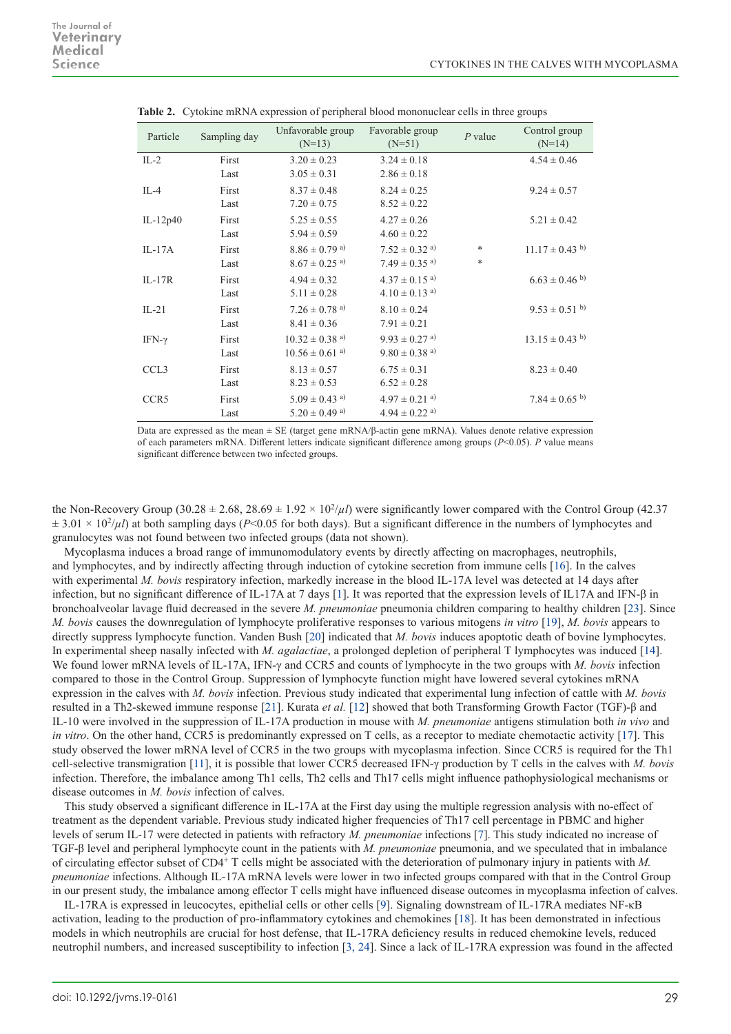| Sampling day | Unfavorable group<br>$(N=13)$  | Favorable group<br>$(N=51)$   | $P$ value | Control group<br>$(N=14)$ |
|--------------|--------------------------------|-------------------------------|-----------|---------------------------|
| First        | $3.20 \pm 0.23$                | $3.24 \pm 0.18$               |           | $4.54 \pm 0.46$           |
| Last         | $3.05 \pm 0.31$                | $2.86 \pm 0.18$               |           |                           |
| First        | $8.37 \pm 0.48$                | $8.24 \pm 0.25$               |           | $9.24 \pm 0.57$           |
| Last         | $7.20 \pm 0.75$                | $8.52 \pm 0.22$               |           |                           |
| First        | $5.25 \pm 0.55$                | $4.27 \pm 0.26$               |           | $5.21 \pm 0.42$           |
| Last         | $5.94 \pm 0.59$                | $4.60 \pm 0.22$               |           |                           |
| First        | $8.86\pm0.79$ a)               | $7.52 \pm 0.32$ <sup>a)</sup> | *         | $11.17 \pm 0.43$ b)       |
| Last         | $8.67 \pm 0.25$ <sup>a)</sup>  | $7.49 \pm 0.35$ <sup>a)</sup> | $\ast$    |                           |
| First        | $4.94 \pm 0.32$                | $4.37 \pm 0.15$ <sup>a)</sup> |           | $6.63 \pm 0.46$ b)        |
| Last         | $5.11 \pm 0.28$                | $4.10 \pm 0.13$ <sup>a)</sup> |           |                           |
| First        | $7.26 \pm 0.78$ <sup>a)</sup>  | $8.10 \pm 0.24$               |           | $9.53 \pm 0.51$ b)        |
| Last         | $8.41 \pm 0.36$                | $7.91 \pm 0.21$               |           |                           |
| First        | $10.32 \pm 0.38$ <sup>a)</sup> | $9.93 \pm 0.27$ <sup>a)</sup> |           | $13.15 \pm 0.43$ b)       |
| Last         | $10.56 \pm 0.61$ <sup>a)</sup> | $9.80 \pm 0.38$ <sup>a)</sup> |           |                           |
| First        | $8.13 \pm 0.57$                | $6.75 \pm 0.31$               |           | $8.23 \pm 0.40$           |
| Last         | $8.23 \pm 0.53$                | $6.52 \pm 0.28$               |           |                           |
| First        | $5.09 \pm 0.43$ <sup>a)</sup>  | $4.97 \pm 0.21$ <sup>a)</sup> |           | $7.84 \pm 0.65$ b)        |
| Last         | $5.20 \pm 0.49$ <sup>a)</sup>  | $4.94 \pm 0.22$ <sup>a)</sup> |           |                           |
|              |                                |                               |           |                           |

**Table 2.** Cytokine mRNA expression of peripheral blood mononuclear cells in three groups

Data are expressed as the mean  $\pm$  SE (target gene mRNA/ $\beta$ -actin gene mRNA). Values denote relative expression of each parameters mRNA. Different letters indicate significant difference among groups (*P*<0.05). *P* value means significant difference between two infected groups.

the Non-Recovery Group (30.28  $\pm$  2.68, 28.69  $\pm$  1.92  $\times$  10<sup>2</sup>/ $\mu$ ) were significantly lower compared with the Control Group (42.37)  $\pm$  3.01 × 10<sup>2</sup>/ $\mu$ *l*) at both sampling days (*P*<0.05 for both days). But a significant difference in the numbers of lymphocytes and granulocytes was not found between two infected groups (data not shown).

Mycoplasma induces a broad range of immunomodulatory events by directly affecting on macrophages, neutrophils, and lymphocytes, and by indirectly affecting through induction of cytokine secretion from immune cells [[16\]](#page-3-3). In the calves with experimental *M. bovis* respiratory infection, markedly increase in the blood IL-17A level was detected at 14 days after infection, but no significant difference of IL-17A at 7 days [[1](#page-3-7)]. It was reported that the expression levels of IL17A and IFN-β in bronchoalveolar lavage fluid decreased in the severe *M. pneumoniae* pneumonia children comparing to healthy children [\[23](#page-3-8)]. Since *M. bovis* causes the downregulation of lymphocyte proliferative responses to various mitogens *in vitro* [\[19](#page-3-9)], *M. bovis* appears to directly suppress lymphocyte function. Vanden Bush [[20\]](#page-3-10) indicated that *M. bovis* induces apoptotic death of bovine lymphocytes. In experimental sheep nasally infected with *M. agalactiae*, a prolonged depletion of peripheral T lymphocytes was induced [[14](#page-3-11)]. We found lower mRNA levels of IL-17A, IFN-γ and CCR5 and counts of lymphocyte in the two groups with *M. bovis* infection compared to those in the Control Group. Suppression of lymphocyte function might have lowered several cytokines mRNA expression in the calves with *M. bovis* infection. Previous study indicated that experimental lung infection of cattle with *M. bovis* resulted in a Th2-skewed immune response [[21](#page-3-12)]. Kurata *et al.* [[12](#page-3-13)] showed that both Transforming Growth Factor (TGF)-β and IL-10 were involved in the suppression of IL-17A production in mouse with *M. pneumoniae* antigens stimulation both *in vivo* and *in vitro*. On the other hand, CCR5 is predominantly expressed on T cells, as a receptor to mediate chemotactic activity [\[17\]](#page-3-14). This study observed the lower mRNA level of CCR5 in the two groups with mycoplasma infection. Since CCR5 is required for the Th1 cell-selective transmigration [[11](#page-3-15)], it is possible that lower CCR5 decreased IFN-γ production by T cells in the calves with *M. bovis* infection. Therefore, the imbalance among Th1 cells, Th2 cells and Th17 cells might influence pathophysiological mechanisms or disease outcomes in *M. bovis* infection of calves.

This study observed a significant difference in IL-17A at the First day using the multiple regression analysis with no-effect of treatment as the dependent variable. Previous study indicated higher frequencies of Th17 cell percentage in PBMC and higher levels of serum IL-17 were detected in patients with refractory *M. pneumoniae* infections [\[7](#page-3-16)]. This study indicated no increase of TGF-β level and peripheral lymphocyte count in the patients with *M. pneumoniae* pneumonia, and we speculated that in imbalance of circulating effector subset of CD4<sup>+</sup> T cells might be associated with the deterioration of pulmonary injury in patients with *M. pneumoniae* infections. Although IL-17A mRNA levels were lower in two infected groups compared with that in the Control Group in our present study, the imbalance among effector T cells might have influenced disease outcomes in mycoplasma infection of calves.

IL-17RA is expressed in leucocytes, epithelial cells or other cells [[9\]](#page-3-17). Signaling downstream of IL-17RA mediates NF-κB activation, leading to the production of pro-inflammatory cytokines and chemokines [\[18](#page-3-18)]. It has been demonstrated in infectious models in which neutrophils are crucial for host defense, that IL-17RA deficiency results in reduced chemokine levels, reduced neutrophil numbers, and increased susceptibility to infection [[3, 24](#page-3-19)]. Since a lack of IL-17RA expression was found in the affected